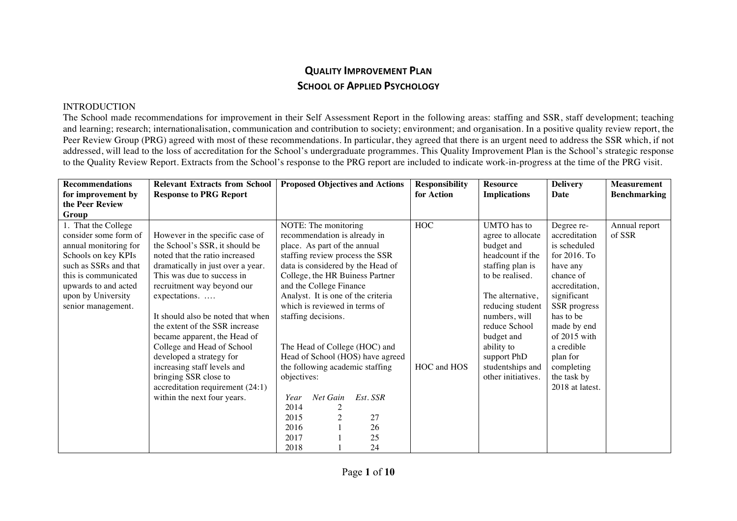## **QUALITY IMPROVEMENT PLAN SCHOOL OF APPLIED PSYCHOLOGY**

## INTRODUCTION

The School made recommendations for improvement in their Self Assessment Report in the following areas: staffing and SSR, staff development; teaching and learning; research; internationalisation, communication and contribution to society; environment; and organisation. In a positive quality review report, the Peer Review Group (PRG) agreed with most of these recommendations. In particular, they agreed that there is an urgent need to address the SSR which, if not addressed, will lead to the loss of accreditation for the School's undergraduate programmes. This Quality Improvement Plan is the School's strategic response to the Quality Review Report. Extracts from the School's response to the PRG report are included to indicate work-in-progress at the time of the PRG visit.

| <b>Recommendations</b> | <b>Relevant Extracts from School</b> | <b>Proposed Objectives and Actions</b> | <b>Responsibility</b> | <b>Resource</b>     | <b>Delivery</b> | <b>Measurement</b>  |
|------------------------|--------------------------------------|----------------------------------------|-----------------------|---------------------|-----------------|---------------------|
| for improvement by     | <b>Response to PRG Report</b>        |                                        | for Action            | <b>Implications</b> | Date            | <b>Benchmarking</b> |
| the Peer Review        |                                      |                                        |                       |                     |                 |                     |
| Group                  |                                      |                                        |                       |                     |                 |                     |
| 1. That the College    |                                      | NOTE: The monitoring                   | <b>HOC</b>            | <b>UMTO</b> has to  | Degree re-      | Annual report       |
| consider some form of  | However in the specific case of      | recommendation is already in           |                       | agree to allocate   | accreditation   | of SSR              |
| annual monitoring for  | the School's SSR, it should be       | place. As part of the annual           |                       | budget and          | is scheduled    |                     |
| Schools on key KPIs    | noted that the ratio increased       | staffing review process the SSR        |                       | headcount if the    | for $2016$ . To |                     |
| such as SSRs and that  | dramatically in just over a year.    | data is considered by the Head of      |                       | staffing plan is    | have any        |                     |
| this is communicated   | This was due to success in           | College, the HR Buiness Partner        |                       | to be realised.     | chance of       |                     |
| upwards to and acted   | recruitment way beyond our           | and the College Finance                |                       |                     | accreditation,  |                     |
| upon by University     | expectations.                        | Analyst. It is one of the criteria     |                       | The alternative,    | significant     |                     |
| senior management.     |                                      | which is reviewed in terms of          |                       | reducing student    | SSR progress    |                     |
|                        | It should also be noted that when    | staffing decisions.                    |                       | numbers, will       | has to be       |                     |
|                        | the extent of the SSR increase       |                                        |                       | reduce School       | made by end     |                     |
|                        | became apparent, the Head of         |                                        |                       | budget and          | of 2015 with    |                     |
|                        | College and Head of School           | The Head of College (HOC) and          |                       | ability to          | a credible      |                     |
|                        | developed a strategy for             | Head of School (HOS) have agreed       |                       | support PhD         | plan for        |                     |
|                        | increasing staff levels and          | the following academic staffing        | HOC and HOS           | studentships and    | completing      |                     |
|                        | bringing SSR close to                | objectives:                            |                       | other initiatives.  | the task by     |                     |
|                        | accreditation requirement (24:1)     |                                        |                       |                     | 2018 at latest. |                     |
|                        | within the next four years.          | Net Gain<br>Est. SSR<br>Year           |                       |                     |                 |                     |
|                        |                                      | 2014                                   |                       |                     |                 |                     |
|                        |                                      | 27<br>2015                             |                       |                     |                 |                     |
|                        |                                      | 2016<br>26                             |                       |                     |                 |                     |
|                        |                                      | 2017<br>25                             |                       |                     |                 |                     |
|                        |                                      | 24<br>2018                             |                       |                     |                 |                     |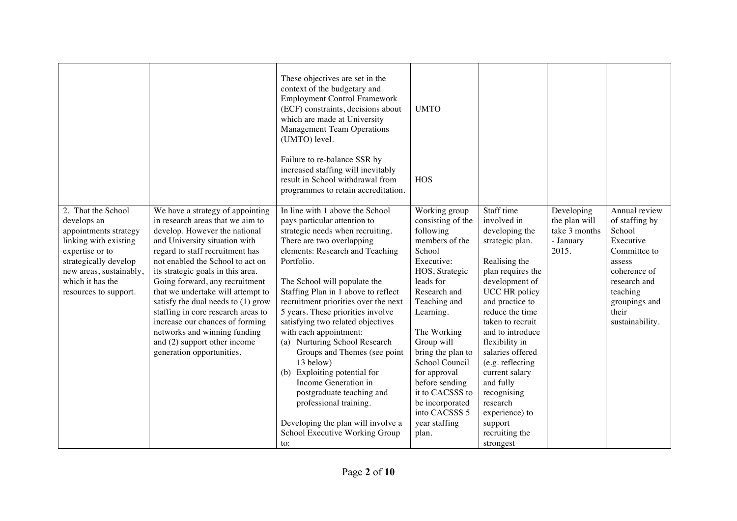|                                                                                                                                                                                                         |                                                                                                                                                                                                                                                                                                                                                                                                                                                                                                                                         | These objectives are set in the<br>context of the budgetary and<br><b>Employment Control Framework</b><br>(ECF) constraints, decisions about<br>which are made at University<br><b>Management Team Operations</b><br>(UMTO) level.<br>Failure to re-balance SSR by<br>increased staffing will inevitably<br>result in School withdrawal from<br>programmes to retain accreditation.                                                                                                                                                                                                                                                                                              | <b>UMTO</b><br>HOS                                                                                                                                                                                                                                                                                                                                           |                                                                                                                                                                                                                                                                                                                                                                                                       |                                                                    |                                                                                                                                                                           |
|---------------------------------------------------------------------------------------------------------------------------------------------------------------------------------------------------------|-----------------------------------------------------------------------------------------------------------------------------------------------------------------------------------------------------------------------------------------------------------------------------------------------------------------------------------------------------------------------------------------------------------------------------------------------------------------------------------------------------------------------------------------|----------------------------------------------------------------------------------------------------------------------------------------------------------------------------------------------------------------------------------------------------------------------------------------------------------------------------------------------------------------------------------------------------------------------------------------------------------------------------------------------------------------------------------------------------------------------------------------------------------------------------------------------------------------------------------|--------------------------------------------------------------------------------------------------------------------------------------------------------------------------------------------------------------------------------------------------------------------------------------------------------------------------------------------------------------|-------------------------------------------------------------------------------------------------------------------------------------------------------------------------------------------------------------------------------------------------------------------------------------------------------------------------------------------------------------------------------------------------------|--------------------------------------------------------------------|---------------------------------------------------------------------------------------------------------------------------------------------------------------------------|
| 2. That the School<br>develops an<br>appointments strategy<br>linking with existing<br>expertise or to<br>strategically develop<br>new areas, sustainably,<br>which it has the<br>resources to support. | We have a strategy of appointing<br>in research areas that we aim to<br>develop. However the national<br>and University situation with<br>regard to staff recruitment has<br>not enabled the School to act on<br>its strategic goals in this area.<br>Going forward, any recruitment<br>that we undertake will attempt to<br>satisfy the dual needs to $(1)$ grow<br>staffing in core research areas to<br>increase our chances of forming<br>networks and winning funding<br>and (2) support other income<br>generation opportunities. | In line with 1 above the School<br>pays particular attention to<br>strategic needs when recruiting.<br>There are two overlapping<br>elements: Research and Teaching<br>Portfolio.<br>The School will populate the<br>Staffing Plan in 1 above to reflect<br>recruitment priorities over the next<br>5 years. These priorities involve<br>satisfying two related objectives<br>with each appointment:<br>(a) Nurturing School Research<br>Groups and Themes (see point<br>13 below)<br>(b) Exploiting potential for<br>Income Generation in<br>postgraduate teaching and<br>professional training.<br>Developing the plan will involve a<br>School Executive Working Group<br>to: | Working group<br>consisting of the<br>following<br>members of the<br>School<br>Executive:<br>HOS, Strategic<br>leads for<br>Research and<br>Teaching and<br>Learning.<br>The Working<br>Group will<br>bring the plan to<br>School Council<br>for approval<br>before sending<br>it to CACSSS to<br>be incorporated<br>into CACSSS 5<br>year staffing<br>plan. | Staff time<br>involved in<br>developing the<br>strategic plan.<br>Realising the<br>plan requires the<br>development of<br>UCC HR policy<br>and practice to<br>reduce the time<br>taken to recruit<br>and to introduce<br>flexibility in<br>salaries offered<br>(e.g. reflecting<br>current salary<br>and fully<br>recognising<br>research<br>experience) to<br>support<br>recruiting the<br>strongest | Developing<br>the plan will<br>take 3 months<br>- January<br>2015. | Annual review<br>of staffing by<br>School<br>Executive<br>Committee to<br>assess<br>coherence of<br>research and<br>teaching<br>groupings and<br>their<br>sustainability. |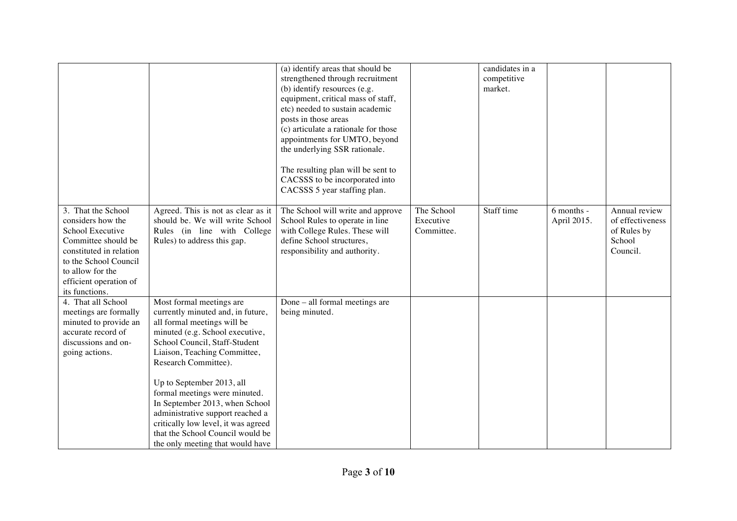|                                                                                                                                                                                                        |                                                                                                                                                                                                                                                                                                                                                                                                                                                                             | (a) identify areas that should be<br>strengthened through recruitment<br>(b) identify resources (e.g.<br>equipment, critical mass of staff,<br>etc) needed to sustain academic<br>posts in those areas<br>(c) articulate a rationale for those<br>appointments for UMTO, beyond<br>the underlying SSR rationale.<br>The resulting plan will be sent to<br>CACSSS to be incorporated into<br>CACSSS 5 year staffing plan. |                                       | candidates in a<br>competitive<br>market. |                           |                                                                        |
|--------------------------------------------------------------------------------------------------------------------------------------------------------------------------------------------------------|-----------------------------------------------------------------------------------------------------------------------------------------------------------------------------------------------------------------------------------------------------------------------------------------------------------------------------------------------------------------------------------------------------------------------------------------------------------------------------|--------------------------------------------------------------------------------------------------------------------------------------------------------------------------------------------------------------------------------------------------------------------------------------------------------------------------------------------------------------------------------------------------------------------------|---------------------------------------|-------------------------------------------|---------------------------|------------------------------------------------------------------------|
| 3. That the School<br>considers how the<br>School Executive<br>Committee should be<br>constituted in relation<br>to the School Council<br>to allow for the<br>efficient operation of<br>its functions. | Agreed. This is not as clear as it<br>should be. We will write School<br>Rules (in line with College<br>Rules) to address this gap.                                                                                                                                                                                                                                                                                                                                         | The School will write and approve<br>School Rules to operate in line<br>with College Rules. These will<br>define School structures,<br>responsibility and authority.                                                                                                                                                                                                                                                     | The School<br>Executive<br>Committee. | Staff time                                | 6 months -<br>April 2015. | Annual review<br>of effectiveness<br>of Rules by<br>School<br>Council. |
| 4. That all School<br>meetings are formally<br>minuted to provide an<br>accurate record of<br>discussions and on-<br>going actions.                                                                    | Most formal meetings are<br>currently minuted and, in future,<br>all formal meetings will be<br>minuted (e.g. School executive,<br>School Council, Staff-Student<br>Liaison, Teaching Committee,<br>Research Committee).<br>Up to September 2013, all<br>formal meetings were minuted.<br>In September 2013, when School<br>administrative support reached a<br>critically low level, it was agreed<br>that the School Council would be<br>the only meeting that would have | Done - all formal meetings are<br>being minuted.                                                                                                                                                                                                                                                                                                                                                                         |                                       |                                           |                           |                                                                        |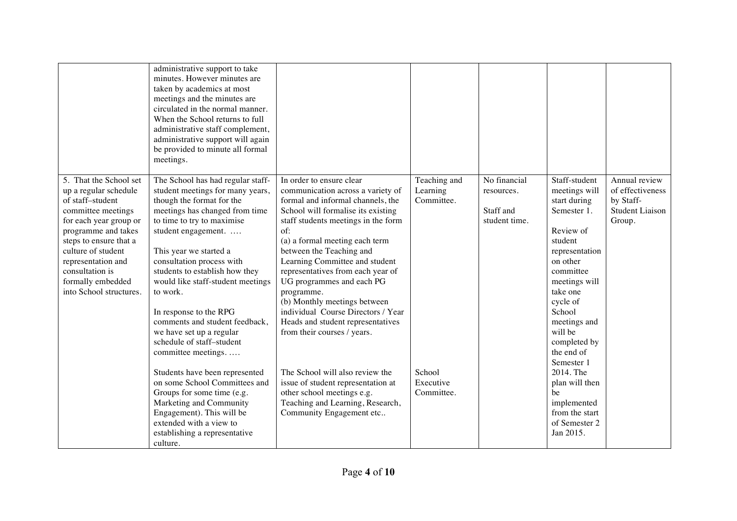|                                                                                                                                                                                                                                                                                     | administrative support to take<br>minutes. However minutes are<br>taken by academics at most<br>meetings and the minutes are<br>circulated in the normal manner.<br>When the School returns to full<br>administrative staff complement,<br>administrative support will again<br>be provided to minute all formal<br>meetings.                                                                                                                                                  |                                                                                                                                                                                                                                                                                                                                                                                                                                                                                                                  |                                        |                                                          |                                                                                                                                                                                                                                                            |                                                                                    |
|-------------------------------------------------------------------------------------------------------------------------------------------------------------------------------------------------------------------------------------------------------------------------------------|--------------------------------------------------------------------------------------------------------------------------------------------------------------------------------------------------------------------------------------------------------------------------------------------------------------------------------------------------------------------------------------------------------------------------------------------------------------------------------|------------------------------------------------------------------------------------------------------------------------------------------------------------------------------------------------------------------------------------------------------------------------------------------------------------------------------------------------------------------------------------------------------------------------------------------------------------------------------------------------------------------|----------------------------------------|----------------------------------------------------------|------------------------------------------------------------------------------------------------------------------------------------------------------------------------------------------------------------------------------------------------------------|------------------------------------------------------------------------------------|
| 5. That the School set<br>up a regular schedule<br>of staff-student<br>committee meetings<br>for each year group or<br>programme and takes<br>steps to ensure that a<br>culture of student<br>representation and<br>consultation is<br>formally embedded<br>into School structures. | The School has had regular staff-<br>student meetings for many years,<br>though the format for the<br>meetings has changed from time<br>to time to try to maximise<br>student engagement.<br>This year we started a<br>consultation process with<br>students to establish how they<br>would like staff-student meetings<br>to work.<br>In response to the RPG<br>comments and student feedback,<br>we have set up a regular<br>schedule of staff-student<br>committee meetings | In order to ensure clear<br>communication across a variety of<br>formal and informal channels, the<br>School will formalise its existing<br>staff students meetings in the form<br>of:<br>(a) a formal meeting each term<br>between the Teaching and<br>Learning Committee and student<br>representatives from each year of<br>UG programmes and each PG<br>programme.<br>(b) Monthly meetings between<br>individual Course Directors / Year<br>Heads and student representatives<br>from their courses / years. | Teaching and<br>Learning<br>Committee. | No financial<br>resources.<br>Staff and<br>student time. | Staff-student<br>meetings will<br>start during<br>Semester 1.<br>Review of<br>student<br>representation<br>on other<br>committee<br>meetings will<br>take one<br>cycle of<br>School<br>meetings and<br>will be<br>completed by<br>the end of<br>Semester 1 | Annual review<br>of effectiveness<br>by Staff-<br><b>Student Liaison</b><br>Group. |
|                                                                                                                                                                                                                                                                                     | Students have been represented<br>on some School Committees and<br>Groups for some time (e.g.<br>Marketing and Community<br>Engagement). This will be<br>extended with a view to<br>establishing a representative<br>culture.                                                                                                                                                                                                                                                  | The School will also review the<br>issue of student representation at<br>other school meetings e.g.<br>Teaching and Learning, Research,<br>Community Engagement etc                                                                                                                                                                                                                                                                                                                                              | School<br>Executive<br>Committee.      |                                                          | 2014. The<br>plan will then<br>be<br>implemented<br>from the start<br>of Semester 2<br>Jan 2015.                                                                                                                                                           |                                                                                    |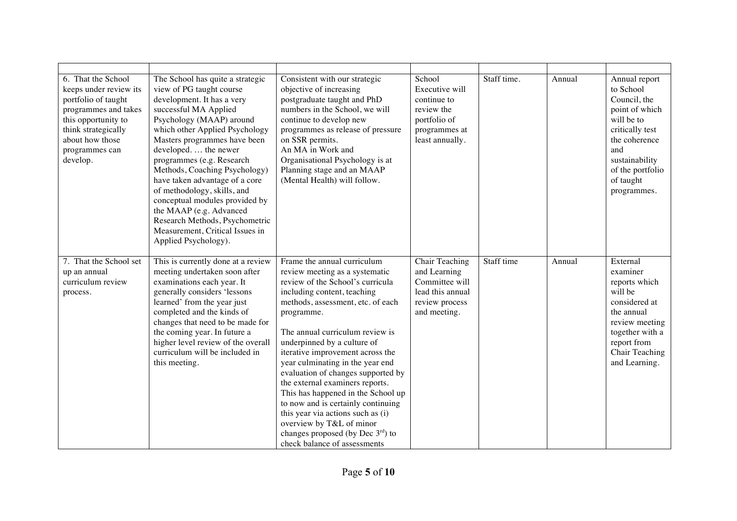| 6. That the School<br>keeps under review its<br>portfolio of taught<br>programmes and takes<br>this opportunity to<br>think strategically<br>about how those<br>programmes can<br>develop. | The School has quite a strategic<br>view of PG taught course<br>development. It has a very<br>successful MA Applied<br>Psychology (MAAP) around<br>which other Applied Psychology<br>Masters programmes have been<br>developed the newer<br>programmes (e.g. Research<br>Methods, Coaching Psychology)<br>have taken advantage of a core<br>of methodology, skills, and<br>conceptual modules provided by<br>the MAAP (e.g. Advanced<br>Research Methods, Psychometric<br>Measurement, Critical Issues in<br>Applied Psychology). | Consistent with our strategic<br>objective of increasing<br>postgraduate taught and PhD<br>numbers in the School, we will<br>continue to develop new<br>programmes as release of pressure<br>on SSR permits.<br>An MA in Work and<br>Organisational Psychology is at<br>Planning stage and an MAAP<br>(Mental Health) will follow.                                                                                                                                                                                                                                                                                                   | School<br>Executive will<br>continue to<br>review the<br>portfolio of<br>programmes at<br>least annually. | Staff time. | Annual | Annual report<br>to School<br>Council, the<br>point of which<br>will be to<br>critically test<br>the coherence<br>and<br>sustainability<br>of the portfolio<br>of taught<br>programmes. |
|--------------------------------------------------------------------------------------------------------------------------------------------------------------------------------------------|-----------------------------------------------------------------------------------------------------------------------------------------------------------------------------------------------------------------------------------------------------------------------------------------------------------------------------------------------------------------------------------------------------------------------------------------------------------------------------------------------------------------------------------|--------------------------------------------------------------------------------------------------------------------------------------------------------------------------------------------------------------------------------------------------------------------------------------------------------------------------------------------------------------------------------------------------------------------------------------------------------------------------------------------------------------------------------------------------------------------------------------------------------------------------------------|-----------------------------------------------------------------------------------------------------------|-------------|--------|-----------------------------------------------------------------------------------------------------------------------------------------------------------------------------------------|
| 7. That the School set<br>up an annual<br>curriculum review<br>process.                                                                                                                    | This is currently done at a review<br>meeting undertaken soon after<br>examinations each year. It<br>generally considers 'lessons<br>learned' from the year just<br>completed and the kinds of<br>changes that need to be made for<br>the coming year. In future a<br>higher level review of the overall<br>curriculum will be included in<br>this meeting.                                                                                                                                                                       | Frame the annual curriculum<br>review meeting as a systematic<br>review of the School's curricula<br>including content, teaching<br>methods, assessment, etc. of each<br>programme.<br>The annual curriculum review is<br>underpinned by a culture of<br>iterative improvement across the<br>year culminating in the year end<br>evaluation of changes supported by<br>the external examiners reports.<br>This has happened in the School up<br>to now and is certainly continuing<br>this year via actions such as (i)<br>overview by T&L of minor<br>changes proposed (by Dec $3^{\text{rd}}$ ) to<br>check balance of assessments | Chair Teaching<br>and Learning<br>Committee will<br>lead this annual<br>review process<br>and meeting.    | Staff time  | Annual | External<br>examiner<br>reports which<br>will be<br>considered at<br>the annual<br>review meeting<br>together with a<br>report from<br>Chair Teaching<br>and Learning.                  |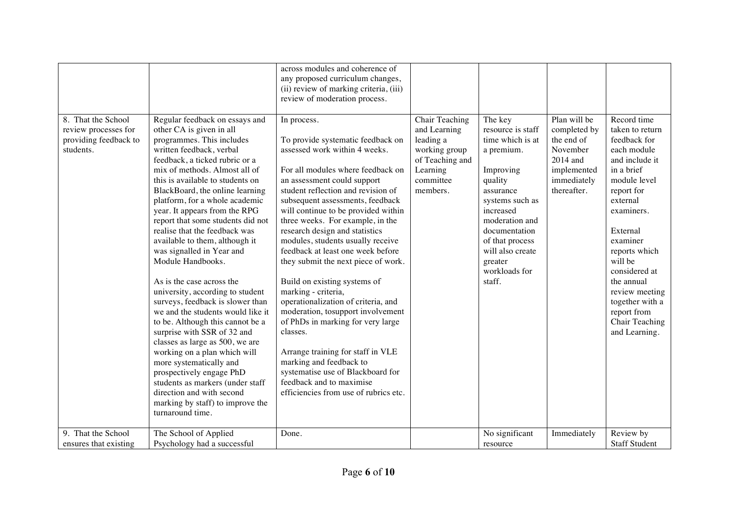|                                                                                  |                                                                                                                                                                                                                                                                                                                                                                                                                                                                                                                                                                                                                                                                                                                                                                                                                                                                                                                                                            | across modules and coherence of<br>any proposed curriculum changes,<br>(ii) review of marking criteria, (iii)<br>review of moderation process.                                                                                                                                                                                                                                                                                                                                                                                                                                                                                                                                                                                                                                                                              |                                                                                                                      |                                                                                                                                                                                                                                                     |                                                                                                                   |                                                                                                                                                                                                                                                                                                                                 |
|----------------------------------------------------------------------------------|------------------------------------------------------------------------------------------------------------------------------------------------------------------------------------------------------------------------------------------------------------------------------------------------------------------------------------------------------------------------------------------------------------------------------------------------------------------------------------------------------------------------------------------------------------------------------------------------------------------------------------------------------------------------------------------------------------------------------------------------------------------------------------------------------------------------------------------------------------------------------------------------------------------------------------------------------------|-----------------------------------------------------------------------------------------------------------------------------------------------------------------------------------------------------------------------------------------------------------------------------------------------------------------------------------------------------------------------------------------------------------------------------------------------------------------------------------------------------------------------------------------------------------------------------------------------------------------------------------------------------------------------------------------------------------------------------------------------------------------------------------------------------------------------------|----------------------------------------------------------------------------------------------------------------------|-----------------------------------------------------------------------------------------------------------------------------------------------------------------------------------------------------------------------------------------------------|-------------------------------------------------------------------------------------------------------------------|---------------------------------------------------------------------------------------------------------------------------------------------------------------------------------------------------------------------------------------------------------------------------------------------------------------------------------|
| 8. That the School<br>review processes for<br>providing feedback to<br>students. | Regular feedback on essays and<br>other CA is given in all<br>programmes. This includes<br>written feedback, verbal<br>feedback, a ticked rubric or a<br>mix of methods. Almost all of<br>this is available to students on<br>BlackBoard, the online learning<br>platform, for a whole academic<br>year. It appears from the RPG<br>report that some students did not<br>realise that the feedback was<br>available to them, although it<br>was signalled in Year and<br>Module Handbooks.<br>As is the case across the<br>university, according to student<br>surveys, feedback is slower than<br>we and the students would like it<br>to be. Although this cannot be a<br>surprise with SSR of 32 and<br>classes as large as 500, we are<br>working on a plan which will<br>more systematically and<br>prospectively engage PhD<br>students as markers (under staff<br>direction and with second<br>marking by staff) to improve the<br>turnaround time. | In process.<br>To provide systematic feedback on<br>assessed work within 4 weeks.<br>For all modules where feedback on<br>an assessment could support<br>student reflection and revision of<br>subsequent assessments, feedback<br>will continue to be provided within<br>three weeks. For example, in the<br>research design and statistics<br>modules, students usually receive<br>feedback at least one week before<br>they submit the next piece of work.<br>Build on existing systems of<br>marking - criteria,<br>operationalization of criteria, and<br>moderation, tosupport involvement<br>of PhDs in marking for very large<br>classes.<br>Arrange training for staff in VLE<br>marking and feedback to<br>systematise use of Blackboard for<br>feedback and to maximise<br>efficiencies from use of rubrics etc. | Chair Teaching<br>and Learning<br>leading a<br>working group<br>of Teaching and<br>Learning<br>committee<br>members. | The key<br>resource is staff<br>time which is at<br>a premium.<br>Improving<br>quality<br>assurance<br>systems such as<br>increased<br>moderation and<br>documentation<br>of that process<br>will also create<br>greater<br>workloads for<br>staff. | Plan will be<br>completed by<br>the end of<br>November<br>$2014$ and<br>implemented<br>immediately<br>thereafter. | Record time<br>taken to return<br>feedback for<br>each module<br>and include it<br>in a brief<br>module level<br>report for<br>external<br>examiners.<br>External<br>examiner<br>reports which<br>will be<br>considered at<br>the annual<br>review meeting<br>together with a<br>report from<br>Chair Teaching<br>and Learning. |
| 9. That the School<br>ensures that existing                                      | The School of Applied<br>Psychology had a successful                                                                                                                                                                                                                                                                                                                                                                                                                                                                                                                                                                                                                                                                                                                                                                                                                                                                                                       | Done.                                                                                                                                                                                                                                                                                                                                                                                                                                                                                                                                                                                                                                                                                                                                                                                                                       |                                                                                                                      | No significant<br>resource                                                                                                                                                                                                                          | Immediately                                                                                                       | Review by<br><b>Staff Student</b>                                                                                                                                                                                                                                                                                               |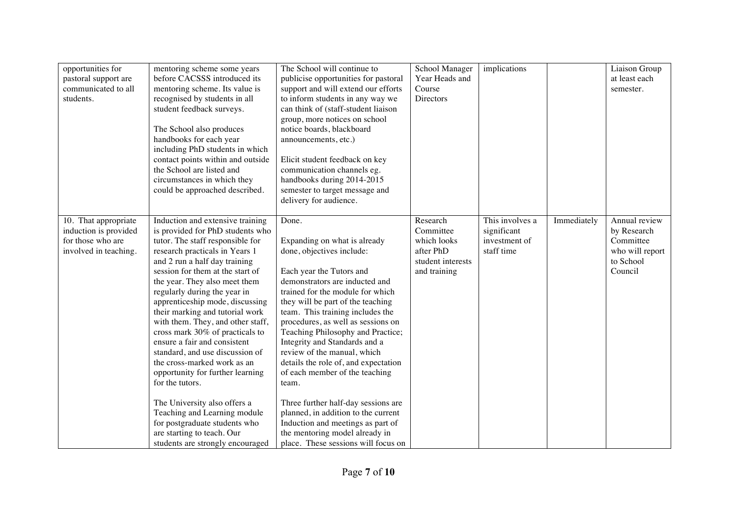| opportunities for<br>pastoral support are<br>communicated to all<br>students.               | mentoring scheme some years<br>before CACSSS introduced its<br>mentoring scheme. Its value is<br>recognised by students in all<br>student feedback surveys.<br>The School also produces<br>handbooks for each year<br>including PhD students in which<br>contact points within and outside<br>the School are listed and<br>circumstances in which they<br>could be approached described.                                                                                                                                                                                                                                                                                                                                                                   | The School will continue to<br>publicise opportunities for pastoral<br>support and will extend our efforts<br>to inform students in any way we<br>can think of (staff-student liaison<br>group, more notices on school<br>notice boards, blackboard<br>announcements, etc.)<br>Elicit student feedback on key<br>communication channels eg.<br>handbooks during 2014-2015<br>semester to target message and<br>delivery for audience.                                                                                                                                                                                                                                   | School Manager<br>Year Heads and<br>Course<br><b>Directors</b>                         | implications                                                  |             | Liaison Group<br>at least each<br>semester.                                          |
|---------------------------------------------------------------------------------------------|------------------------------------------------------------------------------------------------------------------------------------------------------------------------------------------------------------------------------------------------------------------------------------------------------------------------------------------------------------------------------------------------------------------------------------------------------------------------------------------------------------------------------------------------------------------------------------------------------------------------------------------------------------------------------------------------------------------------------------------------------------|-------------------------------------------------------------------------------------------------------------------------------------------------------------------------------------------------------------------------------------------------------------------------------------------------------------------------------------------------------------------------------------------------------------------------------------------------------------------------------------------------------------------------------------------------------------------------------------------------------------------------------------------------------------------------|----------------------------------------------------------------------------------------|---------------------------------------------------------------|-------------|--------------------------------------------------------------------------------------|
| 10. That appropriate<br>induction is provided<br>for those who are<br>involved in teaching. | Induction and extensive training<br>is provided for PhD students who<br>tutor. The staff responsible for<br>research practicals in Years 1<br>and 2 run a half day training<br>session for them at the start of<br>the year. They also meet them<br>regularly during the year in<br>apprenticeship mode, discussing<br>their marking and tutorial work<br>with them. They, and other staff,<br>cross mark 30% of practicals to<br>ensure a fair and consistent<br>standard, and use discussion of<br>the cross-marked work as an<br>opportunity for further learning<br>for the tutors.<br>The University also offers a<br>Teaching and Learning module<br>for postgraduate students who<br>are starting to teach. Our<br>students are strongly encouraged | Done.<br>Expanding on what is already<br>done, objectives include:<br>Each year the Tutors and<br>demonstrators are inducted and<br>trained for the module for which<br>they will be part of the teaching<br>team. This training includes the<br>procedures, as well as sessions on<br>Teaching Philosophy and Practice;<br>Integrity and Standards and a<br>review of the manual, which<br>details the role of, and expectation<br>of each member of the teaching<br>team.<br>Three further half-day sessions are<br>planned, in addition to the current<br>Induction and meetings as part of<br>the mentoring model already in<br>place. These sessions will focus on | Research<br>Committee<br>which looks<br>after PhD<br>student interests<br>and training | This involves a<br>significant<br>investment of<br>staff time | Immediately | Annual review<br>by Research<br>Committee<br>who will report<br>to School<br>Council |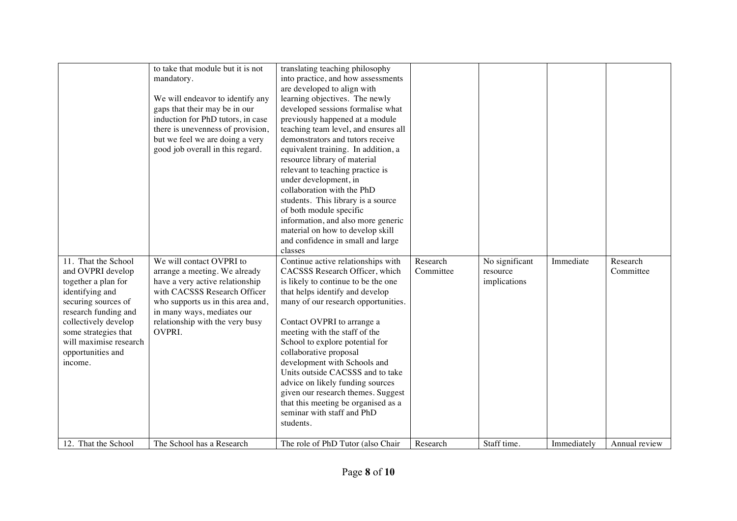|                                                                                                                                                                                                                                             | to take that module but it is not<br>mandatory.<br>We will endeavor to identify any<br>gaps that their may be in our<br>induction for PhD tutors, in case<br>there is unevenness of provision,<br>but we feel we are doing a very<br>good job overall in this regard. | translating teaching philosophy<br>into practice, and how assessments<br>are developed to align with<br>learning objectives. The newly<br>developed sessions formalise what<br>previously happened at a module<br>teaching team level, and ensures all<br>demonstrators and tutors receive<br>equivalent training. In addition, a<br>resource library of material<br>relevant to teaching practice is<br>under development, in<br>collaboration with the PhD<br>students. This library is a source<br>of both module specific<br>information, and also more generic<br>material on how to develop skill<br>and confidence in small and large<br>classes |                       |                                            |             |                       |
|---------------------------------------------------------------------------------------------------------------------------------------------------------------------------------------------------------------------------------------------|-----------------------------------------------------------------------------------------------------------------------------------------------------------------------------------------------------------------------------------------------------------------------|---------------------------------------------------------------------------------------------------------------------------------------------------------------------------------------------------------------------------------------------------------------------------------------------------------------------------------------------------------------------------------------------------------------------------------------------------------------------------------------------------------------------------------------------------------------------------------------------------------------------------------------------------------|-----------------------|--------------------------------------------|-------------|-----------------------|
| 11. That the School<br>and OVPRI develop<br>together a plan for<br>identifying and<br>securing sources of<br>research funding and<br>collectively develop<br>some strategies that<br>will maximise research<br>opportunities and<br>income. | We will contact OVPRI to<br>arrange a meeting. We already<br>have a very active relationship<br>with CACSSS Research Officer<br>who supports us in this area and,<br>in many ways, mediates our<br>relationship with the very busy<br>OVPRI.                          | Continue active relationships with<br>CACSSS Research Officer, which<br>is likely to continue to be the one<br>that helps identify and develop<br>many of our research opportunities.<br>Contact OVPRI to arrange a<br>meeting with the staff of the<br>School to explore potential for<br>collaborative proposal<br>development with Schools and<br>Units outside CACSSS and to take<br>advice on likely funding sources<br>given our research themes. Suggest<br>that this meeting be organised as a<br>seminar with staff and PhD<br>students.                                                                                                       | Research<br>Committee | No significant<br>resource<br>implications | Immediate   | Research<br>Committee |
| 12. That the School                                                                                                                                                                                                                         | The School has a Research                                                                                                                                                                                                                                             | The role of PhD Tutor (also Chair                                                                                                                                                                                                                                                                                                                                                                                                                                                                                                                                                                                                                       | Research              | Staff time.                                | Immediately | Annual review         |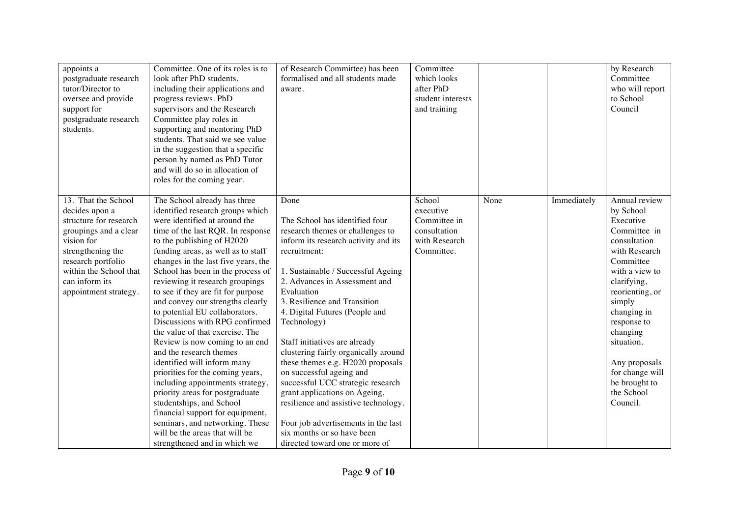| appoints a<br>postgraduate research<br>tutor/Director to<br>oversee and provide<br>support for<br>postgraduate research<br>students.                                                                                   | Committee. One of its roles is to<br>look after PhD students,<br>including their applications and<br>progress reviews. PhD<br>supervisors and the Research<br>Committee play roles in<br>supporting and mentoring PhD<br>students. That said we see value<br>in the suggestion that a specific<br>person by named as PhD Tutor<br>and will do so in allocation of<br>roles for the coming year.                                                                                                                                                                                                                                                                                                                                                                                                                                                                                        | of Research Committee) has been<br>formalised and all students made<br>aware.                                                                                                                                                                                                                                                                                                                                                                                                                                                                                                                                                                                           | Committee<br>which looks<br>after PhD<br>student interests<br>and training         |      |             | by Research<br>Committee<br>who will report<br>to School<br>Council                                                                                                                                                                                                                                        |
|------------------------------------------------------------------------------------------------------------------------------------------------------------------------------------------------------------------------|----------------------------------------------------------------------------------------------------------------------------------------------------------------------------------------------------------------------------------------------------------------------------------------------------------------------------------------------------------------------------------------------------------------------------------------------------------------------------------------------------------------------------------------------------------------------------------------------------------------------------------------------------------------------------------------------------------------------------------------------------------------------------------------------------------------------------------------------------------------------------------------|-------------------------------------------------------------------------------------------------------------------------------------------------------------------------------------------------------------------------------------------------------------------------------------------------------------------------------------------------------------------------------------------------------------------------------------------------------------------------------------------------------------------------------------------------------------------------------------------------------------------------------------------------------------------------|------------------------------------------------------------------------------------|------|-------------|------------------------------------------------------------------------------------------------------------------------------------------------------------------------------------------------------------------------------------------------------------------------------------------------------------|
| 13. That the School<br>decides upon a<br>structure for research<br>groupings and a clear<br>vision for<br>strengthening the<br>research portfolio<br>within the School that<br>can inform its<br>appointment strategy. | The School already has three<br>identified research groups which<br>were identified at around the<br>time of the last RQR. In response<br>to the publishing of H2020<br>funding areas, as well as to staff<br>changes in the last five years, the<br>School has been in the process of<br>reviewing it research groupings<br>to see if they are fit for purpose<br>and convey our strengths clearly<br>to potential EU collaborators.<br>Discussions with RPG confirmed<br>the value of that exercise. The<br>Review is now coming to an end<br>and the research themes<br>identified will inform many<br>priorities for the coming years,<br>including appointments strategy,<br>priority areas for postgraduate<br>studentships, and School<br>financial support for equipment,<br>seminars, and networking. These<br>will be the areas that will be<br>strengthened and in which we | Done<br>The School has identified four<br>research themes or challenges to<br>inform its research activity and its<br>recruitment:<br>1. Sustainable / Successful Ageing<br>2. Advances in Assessment and<br>Evaluation<br>3. Resilience and Transition<br>4. Digital Futures (People and<br>Technology)<br>Staff initiatives are already<br>clustering fairly organically around<br>these themes e.g. H2020 proposals<br>on successful ageing and<br>successful UCC strategic research<br>grant applications on Ageing,<br>resilience and assistive technology.<br>Four job advertisements in the last<br>six months or so have been<br>directed toward one or more of | School<br>executive<br>Committee in<br>consultation<br>with Research<br>Committee. | None | Immediately | Annual review<br>by School<br>Executive<br>Committee in<br>consultation<br>with Research<br>Committee<br>with a view to<br>clarifying,<br>reorienting, or<br>simply<br>changing in<br>response to<br>changing<br>situation.<br>Any proposals<br>for change will<br>be brought to<br>the School<br>Council. |